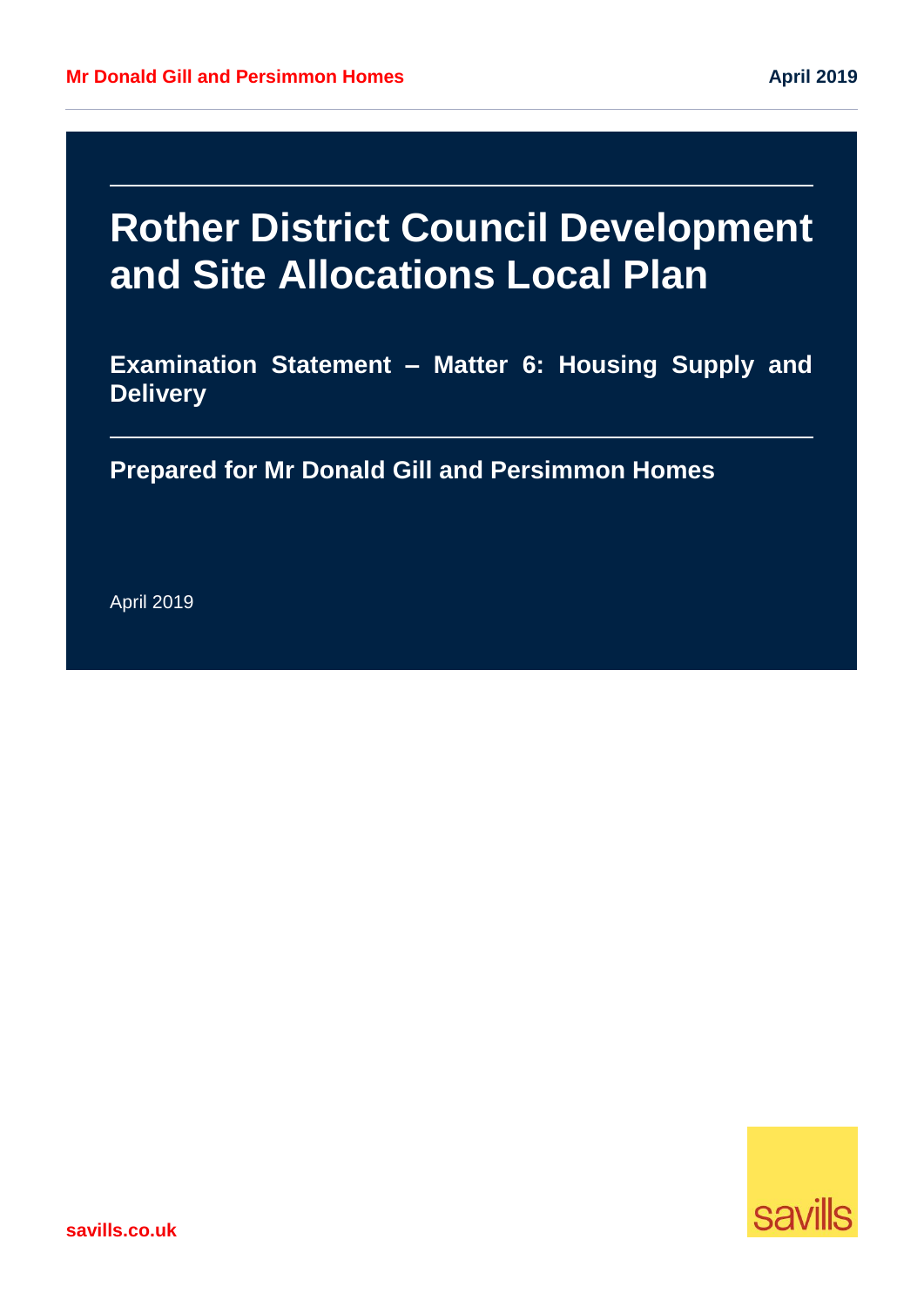# **Rother District Council Development and Site Allocations Local Plan**

**Examination Statement – Matter 6: Housing Supply and Delivery** 

**Prepared for Mr Donald Gill and Persimmon Homes**

April 2019

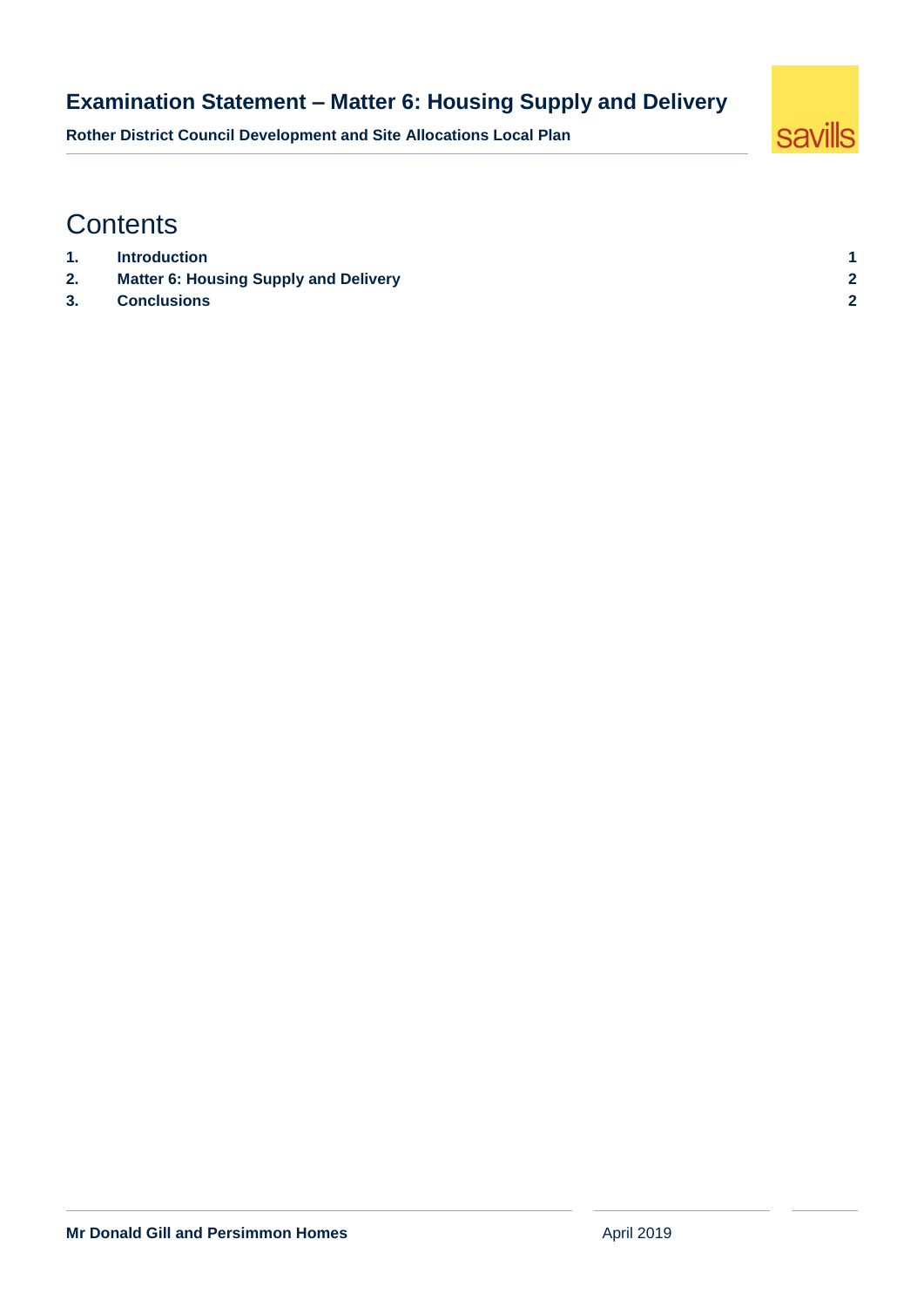#### **Examination Statement – Matter 6: Housing Supply and Delivery**

**Rother District Council Development and Site Allocations Local Plan**



# **Contents**

- **1. [Introduction](#page-2-0) 1**
- **2. [Matter 6: Housing Supply and Delivery](#page-3-0) 2**
- **3. [Conclusions](#page-3-1) 2**
-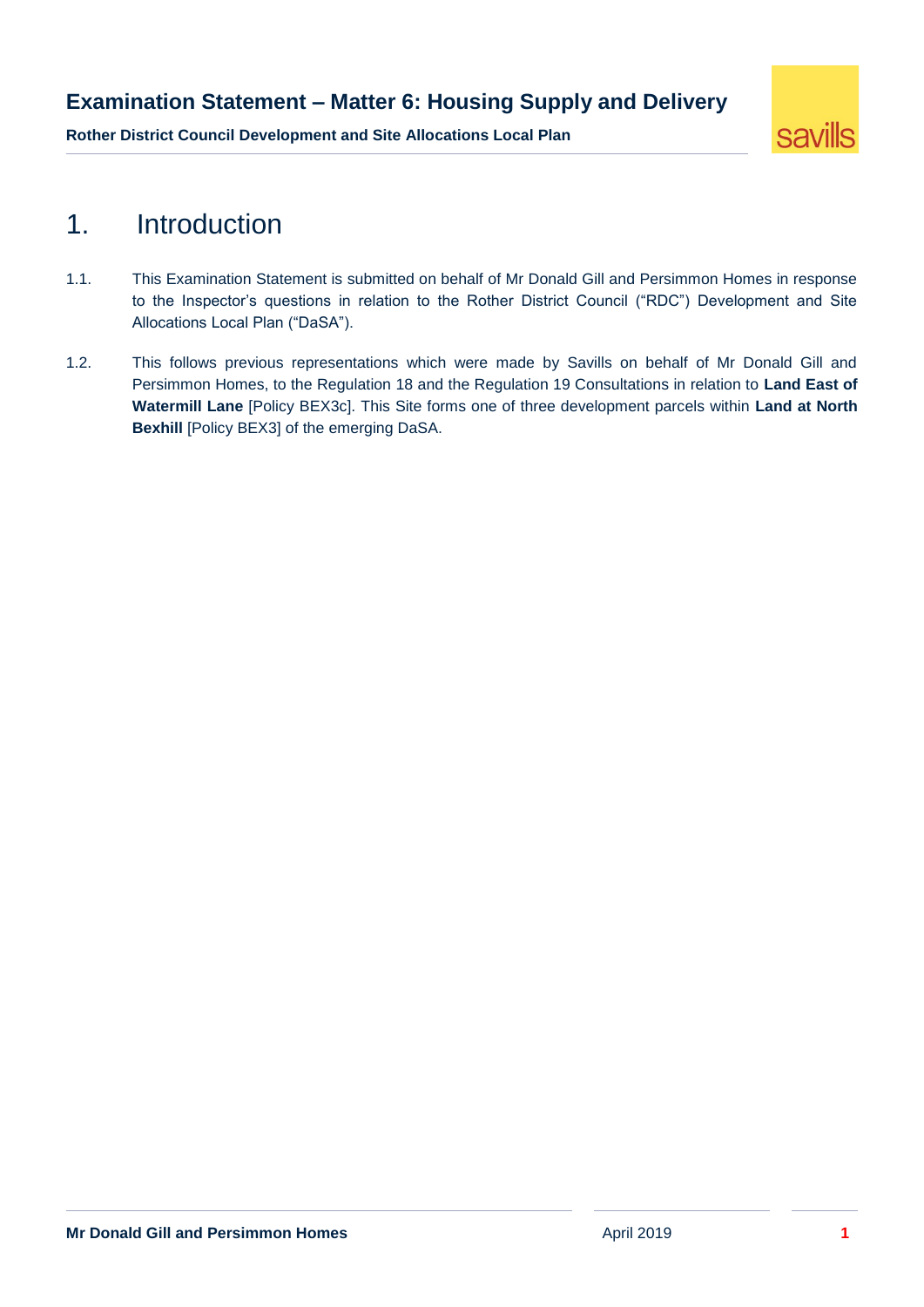#### **Examination Statement – Matter 6: Housing Supply and Delivery**

**Rother District Council Development and Site Allocations Local Plan**



## <span id="page-2-0"></span>1. Introduction

- 1.1. This Examination Statement is submitted on behalf of Mr Donald Gill and Persimmon Homes in response to the Inspector's questions in relation to the Rother District Council ("RDC") Development and Site Allocations Local Plan ("DaSA").
- 1.2. This follows previous representations which were made by Savills on behalf of Mr Donald Gill and Persimmon Homes, to the Regulation 18 and the Regulation 19 Consultations in relation to **Land East of Watermill Lane** [Policy BEX3c]. This Site forms one of three development parcels within **Land at North Bexhill** [Policy BEX3] of the emerging DaSA.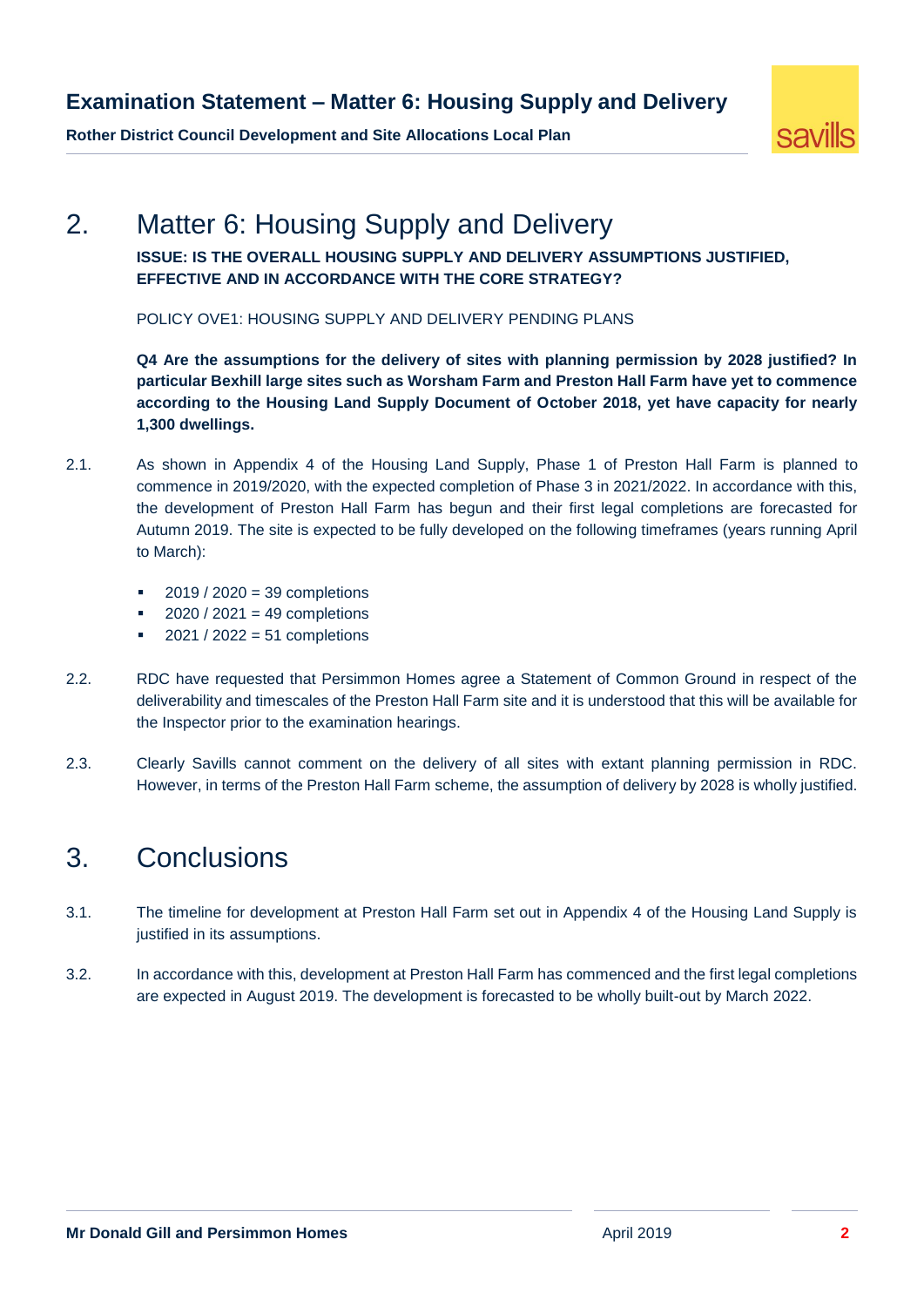#### **Examination Statement – Matter 6: Housing Supply and Delivery**

savills

**Rother District Council Development and Site Allocations Local Plan**

# <span id="page-3-0"></span>2. Matter 6: Housing Supply and Delivery

**ISSUE: IS THE OVERALL HOUSING SUPPLY AND DELIVERY ASSUMPTIONS JUSTIFIED, EFFECTIVE AND IN ACCORDANCE WITH THE CORE STRATEGY?**

POLICY OVE1: HOUSING SUPPLY AND DELIVERY PENDING PLANS

**Q4 Are the assumptions for the delivery of sites with planning permission by 2028 justified? In particular Bexhill large sites such as Worsham Farm and Preston Hall Farm have yet to commence according to the Housing Land Supply Document of October 2018, yet have capacity for nearly 1,300 dwellings.**

- 2.1. As shown in Appendix 4 of the Housing Land Supply, Phase 1 of Preston Hall Farm is planned to commence in 2019/2020, with the expected completion of Phase 3 in 2021/2022. In accordance with this, the development of Preston Hall Farm has begun and their first legal completions are forecasted for Autumn 2019. The site is expected to be fully developed on the following timeframes (years running April to March):
	- 2019 / 2020 = 39 completions
	- 2020 / 2021 = 49 completions
	- $2021 / 2022 = 51$  completions
- 2.2. RDC have requested that Persimmon Homes agree a Statement of Common Ground in respect of the deliverability and timescales of the Preston Hall Farm site and it is understood that this will be available for the Inspector prior to the examination hearings.
- 2.3. Clearly Savills cannot comment on the delivery of all sites with extant planning permission in RDC. However, in terms of the Preston Hall Farm scheme, the assumption of delivery by 2028 is wholly justified.

## <span id="page-3-1"></span>3. Conclusions

- 3.1. The timeline for development at Preston Hall Farm set out in Appendix 4 of the Housing Land Supply is justified in its assumptions.
- 3.2. In accordance with this, development at Preston Hall Farm has commenced and the first legal completions are expected in August 2019. The development is forecasted to be wholly built-out by March 2022.